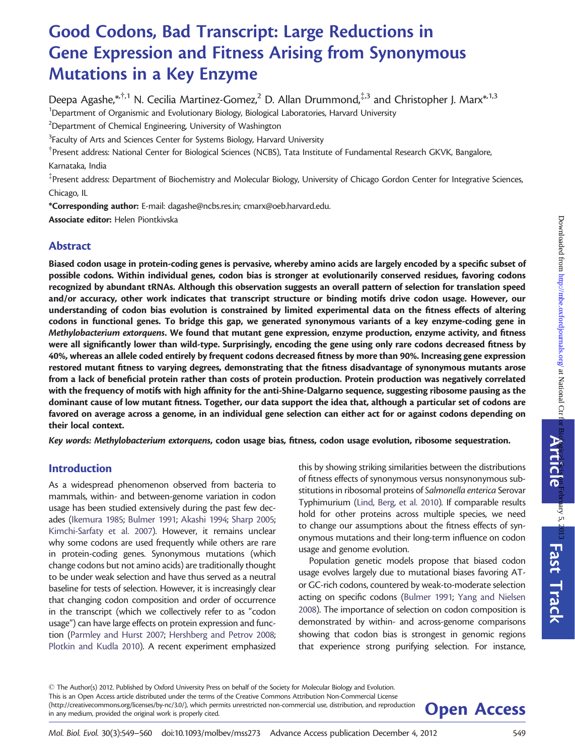# Good Codons, Bad Transcript: Large Reductions in Gene Expression and Fitness Arising from Synonymous Mutations in a Key Enzyme

Deepa Agashe,  $*^{\dagger,1}$  N. Cecilia Martinez-Gomez, 2 D. Allan Drummond, $*^3$  and Christopher J. Marx $*^{1,3}$ <sup>1</sup>Department of Organismic and Evolutionary Biology, Biological Laboratories, Harvard University

 $^{2}$ Department of Chemical Engineering, University of Washington

<sup>3</sup>Faculty of Arts and Sciences Center for Systems Biology, Harvard University

 $^\dagger$ Present address: National Center for Biological Sciences (NCBS), Tata Institute of Fundamental Research GKVK, Bangalore, Karnataka, India

 $^\ddag$ Present address: Department of Biochemistry and Molecular Biology, University of Chicago Gordon Center for Integrative Sciences, Chicago, IL

\*Corresponding author: E-mail: dagashe@ncbs.res.in; cmarx@oeb.harvard.edu.

Associate editor: Helen Piontkivska

# Abstract

Biased codon usage in protein-coding genes is pervasive, whereby amino acids are largely encoded by a specific subset of possible codons. Within individual genes, codon bias is stronger at evolutionarily conserved residues, favoring codons recognized by abundant tRNAs. Although this observation suggests an overall pattern of selection for translation speed and/or accuracy, other work indicates that transcript structure or binding motifs drive codon usage. However, our understanding of codon bias evolution is constrained by limited experimental data on the fitness effects of altering codons in functional genes. To bridge this gap, we generated synonymous variants of a key enzyme-coding gene in Methylobacterium extorquens. We found that mutant gene expression, enzyme production, enzyme activity, and fitness were all significantly lower than wild-type. Surprisingly, encoding the gene using only rare codons decreased fitness by 40%, whereas an allele coded entirely by frequent codons decreased fitness by more than 90%. Increasing gene expression restored mutant fitness to varying degrees, demonstrating that the fitness disadvantage of synonymous mutants arose from a lack of beneficial protein rather than costs of protein production. Protein production was negatively correlated with the frequency of motifs with high affinity for the anti-Shine-Dalgarno sequence, suggesting ribosome pausing as the dominant cause of low mutant fitness. Together, our data support the idea that, although a particular set of codons are favored on average across a genome, in an individual gene selection can either act for or against codons depending on their local context.

Key words: Methylobacterium extorquens, codon usage bias, fitness, codon usage evolution, ribosome sequestration.

# Introduction

As a widespread phenomenon observed from bacteria to mammals, within- and between-genome variation in codon usage has been studied extensively during the past few decades [\(Ikemura 1985;](#page-10-0) [Bulmer 1991](#page-10-0); [Akashi 1994;](#page-10-0) [Sharp 2005;](#page-11-0) [Kimchi-Sarfaty et al. 2007\)](#page-10-0). However, it remains unclear why some codons are used frequently while others are rare in protein-coding genes. Synonymous mutations (which change codons but not amino acids) are traditionally thought to be under weak selection and have thus served as a neutral baseline for tests of selection. However, it is increasingly clear that changing codon composition and order of occurrence in the transcript (which we collectively refer to as "codon usage") can have large effects on protein expression and function [\(Parmley and Hurst 2007;](#page-11-0) [Hershberg and Petrov 2008;](#page-10-0) [Plotkin and Kudla 2010\)](#page-11-0). A recent experiment emphasized

this by showing striking similarities between the distributions of fitness effects of synonymous versus nonsynonymous substitutions in ribosomal proteins of Salmonella enterica Serovar Typhimurium ([Lind, Berg, et al. 2010](#page-10-0)). If comparable results hold for other proteins across multiple species, we need to change our assumptions about the fitness effects of synonymous mutations and their long-term influence on codon usage and genome evolution.

Population genetic models propose that biased codon usage evolves largely due to mutational biases favoring ATor GC-rich codons, countered by weak-to-moderate selection acting on specific codons [\(Bulmer 1991;](#page-10-0) [Yang and Nielsen](#page-11-0) [2008\)](#page-11-0). The importance of selection on codon composition is demonstrated by within- and across-genome comparisons showing that codon bias is strongest in genomic regions that experience strong purifying selection. For instance,

 $\odot$  The Author(s) 2012. Published by Oxford University Press on behalf of the Society for Molecular Biology and Evolution. This is an Open Access article distributed under the terms of the Creative Commons Attribution Non-Commercial License (http://creativecommons.org/licenses/by-nc/3.0/), which permits unrestricted non-commercial use, distribution, and reproduction<br>in any medium, provided the original work is properly cited.

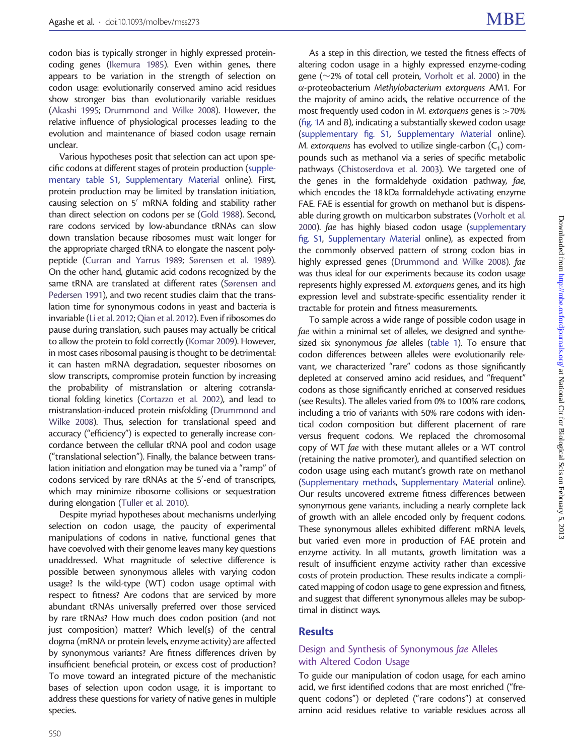codon bias is typically stronger in highly expressed proteincoding genes ([Ikemura 1985\)](#page-10-0). Even within genes, there appears to be variation in the strength of selection on codon usage: evolutionarily conserved amino acid residues show stronger bias than evolutionarily variable residues ([Akashi 1995](#page-10-0); [Drummond and Wilke 2008](#page-10-0)). However, the relative influence of physiological processes leading to the evolution and maintenance of biased codon usage remain unclear.

Various hypotheses posit that selection can act upon specific codons at different stages of protein production [\(supple](http://mbe.oxfordjournals.org/lookup/suppl/doi:10.1093/molbev/mss273/-/DC1)[mentary table S1,](http://mbe.oxfordjournals.org/lookup/suppl/doi:10.1093/molbev/mss273/-/DC1) [Supplementary Material](http://mbe.oxfordjournals.org/lookup/suppl/doi:10.1093/molbev/mss273/-/DC1) online). First, protein production may be limited by translation initiation, causing selection on  $5'$  mRNA folding and stability rather than direct selection on codons per se ([Gold 1988\)](#page-10-0). Second, rare codons serviced by low-abundance tRNAs can slow down translation because ribosomes must wait longer for the appropriate charged tRNA to elongate the nascent polypeptide [\(Curran and Yarrus 1989](#page-10-0); [Sørensen et al. 1989\)](#page-11-0). On the other hand, glutamic acid codons recognized by the same tRNA are translated at different rates [\(Sørensen and](#page-11-0) [Pedersen 1991](#page-11-0)), and two recent studies claim that the translation time for synonymous codons in yeast and bacteria is invariable [\(Li et al. 2012;](#page-10-0) [Qian et al. 2012\)](#page-11-0). Even if ribosomes do pause during translation, such pauses may actually be critical to allow the protein to fold correctly [\(Komar 2009](#page-10-0)). However, in most cases ribosomal pausing is thought to be detrimental: it can hasten mRNA degradation, sequester ribosomes on slow transcripts, compromise protein function by increasing the probability of mistranslation or altering cotranslational folding kinetics [\(Cortazzo et al. 2002\)](#page-10-0), and lead to mistranslation-induced protein misfolding [\(Drummond and](#page-10-0) [Wilke 2008\)](#page-10-0). Thus, selection for translational speed and accuracy ("efficiency") is expected to generally increase concordance between the cellular tRNA pool and codon usage ("translational selection"). Finally, the balance between translation initiation and elongation may be tuned via a "ramp" of codons serviced by rare tRNAs at the 5'-end of transcripts, which may minimize ribosome collisions or sequestration during elongation ([Tuller et al. 2010\)](#page-11-0).

Despite myriad hypotheses about mechanisms underlying selection on codon usage, the paucity of experimental manipulations of codons in native, functional genes that have coevolved with their genome leaves many key questions unaddressed. What magnitude of selective difference is possible between synonymous alleles with varying codon usage? Is the wild-type (WT) codon usage optimal with respect to fitness? Are codons that are serviced by more abundant tRNAs universally preferred over those serviced by rare tRNAs? How much does codon position (and not just composition) matter? Which level(s) of the central dogma (mRNA or protein levels, enzyme activity) are affected by synonymous variants? Are fitness differences driven by insufficient beneficial protein, or excess cost of production? To move toward an integrated picture of the mechanistic bases of selection upon codon usage, it is important to address these questions for variety of native genes in multiple species.

As a step in this direction, we tested the fitness effects of altering codon usage in a highly expressed enzyme-coding gene ( $\sim$ 2% of total cell protein, [Vorholt et al. 2000](#page-11-0)) in the --proteobacterium Methylobacterium extorquens AM1. For the majority of amino acids, the relative occurrence of the most frequently used codon in M. extorquens genes is  $>70\%$ [\(fig. 1](#page-2-0)A and B), indicating a substantially skewed codon usage [\(supplementary fig. S1](http://mbe.oxfordjournals.org/lookup/suppl/doi:10.1093/molbev/mss273/-/DC1), [Supplementary Material](http://mbe.oxfordjournals.org/lookup/suppl/doi:10.1093/molbev/mss273/-/DC1) online). M. extorquens has evolved to utilize single-carbon  $(C_1)$  compounds such as methanol via a series of specific metabolic pathways [\(Chistoserdova et al. 2003\)](#page-10-0). We targeted one of the genes in the formaldehyde oxidation pathway, fae, which encodes the 18 kDa formaldehyde activating enzyme FAE. FAE is essential for growth on methanol but is dispensable during growth on multicarbon substrates ([Vorholt et al.](#page-11-0) [2000\)](#page-11-0). fae has highly biased codon usage ([supplementary](http://mbe.oxfordjournals.org/lookup/suppl/doi:10.1093/molbev/mss273/-/DC1) [fig. S1,](http://mbe.oxfordjournals.org/lookup/suppl/doi:10.1093/molbev/mss273/-/DC1) [Supplementary Material](http://mbe.oxfordjournals.org/lookup/suppl/doi:10.1093/molbev/mss273/-/DC1) online), as expected from the commonly observed pattern of strong codon bias in highly expressed genes [\(Drummond and Wilke 2008\)](#page-10-0). fae was thus ideal for our experiments because its codon usage represents highly expressed M. extorquens genes, and its high expression level and substrate-specific essentiality render it tractable for protein and fitness measurements.

To sample across a wide range of possible codon usage in fae within a minimal set of alleles, we designed and synthesized six synonymous fae alleles [\(table 1](#page-2-0)). To ensure that codon differences between alleles were evolutionarily relevant, we characterized "rare" codons as those significantly depleted at conserved amino acid residues, and "frequent" codons as those significantly enriched at conserved residues (see Results). The alleles varied from 0% to 100% rare codons, including a trio of variants with 50% rare codons with identical codon composition but different placement of rare versus frequent codons. We replaced the chromosomal copy of WT fae with these mutant alleles or a WT control (retaining the native promoter), and quantified selection on codon usage using each mutant's growth rate on methanol [\(Supplementary methods,](http://mbe.oxfordjournals.org/lookup/suppl/doi:10.1093/molbev/mss273/-/DC1) [Supplementary Material](http://mbe.oxfordjournals.org/lookup/suppl/doi:10.1093/molbev/mss273/-/DC1) online). Our results uncovered extreme fitness differences between synonymous gene variants, including a nearly complete lack of growth with an allele encoded only by frequent codons. These synonymous alleles exhibited different mRNA levels, but varied even more in production of FAE protein and enzyme activity. In all mutants, growth limitation was a result of insufficient enzyme activity rather than excessive costs of protein production. These results indicate a complicated mapping of codon usage to gene expression and fitness, and suggest that different synonymous alleles may be suboptimal in distinct ways.

#### **Results**

#### Design and Synthesis of Synonymous fae Alleles with Altered Codon Usage

To guide our manipulation of codon usage, for each amino acid, we first identified codons that are most enriched ("frequent codons") or depleted ("rare codons") at conserved amino acid residues relative to variable residues across all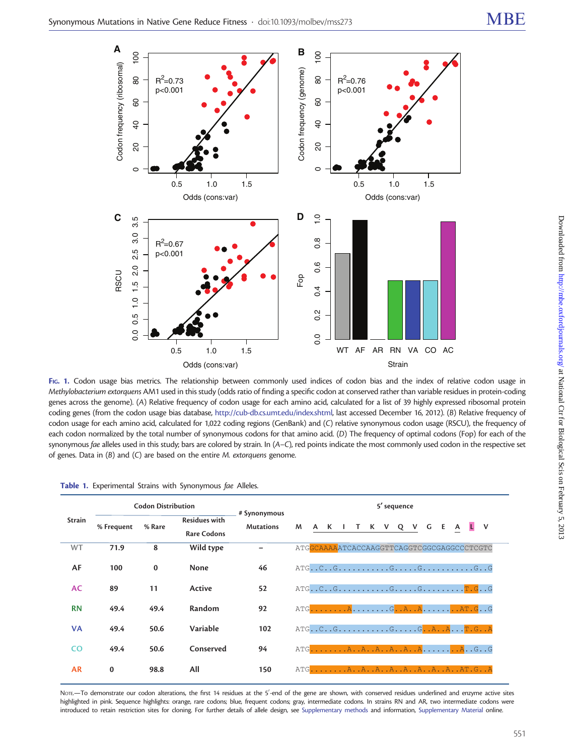<span id="page-2-0"></span>

FIG. 1. Codon usage bias metrics. The relationship between commonly used indices of codon bias and the index of relative codon usage in Methylobacterium extorquens AM1 used in this study (odds ratio of finding a specific codon at conserved rather than variable residues in protein-coding genes across the genome). (A) Relative frequency of codon usage for each amino acid, calculated for a list of 39 highly expressed ribosomal protein coding genes (from the codon usage bias database, <http://cub-db.cs.umt.edu/index.shtml>, last accessed December 16, 2012). (B) Relative frequency of codon usage for each amino acid, calculated for 1,022 coding regions (GenBank) and (C) relative synonymous codon usage (RSCU), the frequency of each codon normalized by the total number of synonymous codons for that amino acid. (D) The frequency of optimal codons (Fop) for each of the synonymous fae alleles used in this study; bars are colored by strain. In (A–C), red points indicate the most commonly used codon in the respective set of genes. Data in (B) and (C) are based on the entire M. extorquens genome.

|               | <b>Codon Distribution</b> |          |                                            | # Synonymous     | 5' sequence                                                                              |  |  |  |  |  |
|---------------|---------------------------|----------|--------------------------------------------|------------------|------------------------------------------------------------------------------------------|--|--|--|--|--|
| <b>Strain</b> | % Frequent                | % Rare   | <b>Residues with</b><br><b>Rare Codons</b> | <b>Mutations</b> | M<br>A K<br>К<br>G<br>$\mathsf{v}$<br>T<br>V<br>$\mathsf{v}$<br>Q<br>E<br>A              |  |  |  |  |  |
| WT            | 71.9                      | 8        | Wild type                                  |                  | ATGGCAAAAATCACCAAGGTTCAGGTCGGCGAGGCCCTCGTC                                               |  |  |  |  |  |
| AF            | 100                       | $\bf{0}$ | None                                       | 46               | $ATGCGGGGGGGG$                                                                           |  |  |  |  |  |
| AC            | 89                        | 11       | Active                                     | 52               | ATGCGGGT.GG                                                                              |  |  |  |  |  |
| <b>RN</b>     | 49.4                      | 49.4     | Random                                     | 92               | $ATG$ $A$ $G$ $A$ $A$ $AT.G$ G                                                           |  |  |  |  |  |
| <b>VA</b>     | 49.4                      | 50.6     | Variable                                   | 102              | ATGCGGGAAT.GA                                                                            |  |  |  |  |  |
| <b>CO</b>     | 49.4                      | 50.6     | Conserved                                  | 94               | $\text{ATG}$ $A \ldots A \ldots A \ldots A \ldots A \ldots A \ldots A \ldots A \ldots A$ |  |  |  |  |  |
| <b>AR</b>     | $\bf{0}$                  | 98.8     | All                                        | 150              | ATGAAAAAAAAAAT.GA                                                                        |  |  |  |  |  |

#### Table 1. Experimental Strains with Synonymous fae Alleles.

Nore.-To demonstrate our codon alterations, the first 14 residues at the 5'-end of the gene are shown, with conserved residues underlined and enzyme active sites highlighted in pink. Sequence highlights: orange, rare codons; blue, frequent codons; gray, intermediate codons. In strains RN and AR, two intermediate codons were introduced to retain restriction sites for cloning. For further details of allele design, see [Supplementary methods](http://mbe.oxfordjournals.org/lookup/suppl/doi:10.1093/molbev/mss273/-/DC1) and information, [Supplementary Material](http://mbe.oxfordjournals.org/lookup/suppl/doi:10.1093/molbev/mss273/-/DC1) online.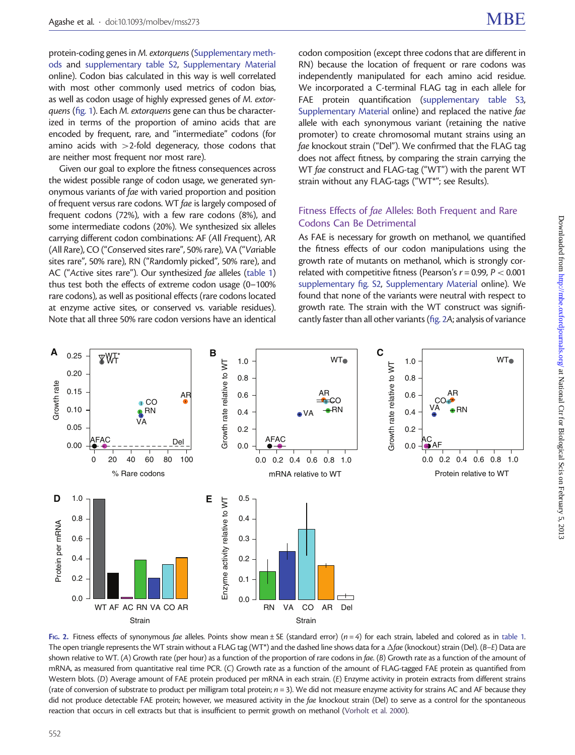<span id="page-3-0"></span>protein-coding genes in M. extorquens [\(Supplementary meth](http://mbe.oxfordjournals.org/lookup/suppl/doi:10.1093/molbev/mss273/-/DC1)[ods](http://mbe.oxfordjournals.org/lookup/suppl/doi:10.1093/molbev/mss273/-/DC1) and [supplementary table S2,](http://mbe.oxfordjournals.org/lookup/suppl/doi:10.1093/molbev/mss273/-/DC1) [Supplementary Material](http://mbe.oxfordjournals.org/lookup/suppl/doi:10.1093/molbev/mss273/-/DC1) online). Codon bias calculated in this way is well correlated with most other commonly used metrics of codon bias, as well as codon usage of highly expressed genes of M. extorquens [\(fig. 1](#page-2-0)). Each M. extorquens gene can thus be characterized in terms of the proportion of amino acids that are encoded by frequent, rare, and "intermediate" codons (for amino acids with >2-fold degeneracy, those codons that are neither most frequent nor most rare).

Given our goal to explore the fitness consequences across the widest possible range of codon usage, we generated synonymous variants of fae with varied proportion and position of frequent versus rare codons. WT fae is largely composed of frequent codons (72%), with a few rare codons (8%), and some intermediate codons (20%). We synthesized six alleles carrying different codon combinations: AF (All Frequent), AR (All Rare), CO ("Conserved sites rare", 50% rare), VA ("Variable sites rare", 50% rare), RN ("Randomly picked", 50% rare), and AC ("Active sites rare"). Our synthesized fae alleles ([table 1](#page-2-0)) thus test both the effects of extreme codon usage (0–100% rare codons), as well as positional effects (rare codons located at enzyme active sites, or conserved vs. variable residues). Note that all three 50% rare codon versions have an identical

codon composition (except three codons that are different in RN) because the location of frequent or rare codons was independently manipulated for each amino acid residue. We incorporated a C-terminal FLAG tag in each allele for FAE protein quantification [\(supplementary table S3,](http://mbe.oxfordjournals.org/lookup/suppl/doi:10.1093/molbev/mss273/-/DC1) [Supplementary Material](http://mbe.oxfordjournals.org/lookup/suppl/doi:10.1093/molbev/mss273/-/DC1) online) and replaced the native fae allele with each synonymous variant (retaining the native promoter) to create chromosomal mutant strains using an fae knockout strain ("Del"). We confirmed that the FLAG tag does not affect fitness, by comparing the strain carrying the WT fae construct and FLAG-tag ("WT") with the parent WT strain without any FLAG-tags ("WT\*"; see Results).

#### Fitness Effects of fae Alleles: Both Frequent and Rare Codons Can Be Detrimental

As FAE is necessary for growth on methanol, we quantified the fitness effects of our codon manipulations using the growth rate of mutants on methanol, which is strongly correlated with competitive fitness (Pearson's  $r = 0.99$ ,  $P < 0.001$ [supplementary fig. S2,](http://mbe.oxfordjournals.org/lookup/suppl/doi:10.1093/molbev/mss273/-/DC1) [Supplementary Material](http://mbe.oxfordjournals.org/lookup/suppl/doi:10.1093/molbev/mss273/-/DC1) online). We found that none of the variants were neutral with respect to growth rate. The strain with the WT construct was significantly faster than all other variants (fig. 2A; analysis of variance



Fig. 2. Fitness effects of synonymous fae alleles. Points show mean  $\pm$  SE (standard error) ( $n=4$ ) for each strain, labeled and colored as in [table 1](#page-2-0). The open triangle represents the WT strain without a FLAG tag (WT\*) and the dashed line shows data for a  $\Delta$ fae (knockout) strain (Del). (B–E) Data are shown relative to WT. (A) Growth rate (per hour) as a function of the proportion of rare codons in fae. (B) Growth rate as a function of the amount of mRNA, as measured from quantitative real time PCR. (C) Growth rate as a function of the amount of FLAG-tagged FAE protein as quantified from Western blots. (D) Average amount of FAE protein produced per mRNA in each strain. (E) Enzyme activity in protein extracts from different strains (rate of conversion of substrate to product per milligram total protein;  $n = 3$ ). We did not measure enzyme activity for strains AC and AF because they did not produce detectable FAE protein; however, we measured activity in the fae knockout strain (Del) to serve as a control for the spontaneous reaction that occurs in cell extracts but that is insufficient to permit growth on methanol [\(Vorholt et al. 2000](#page-11-0)).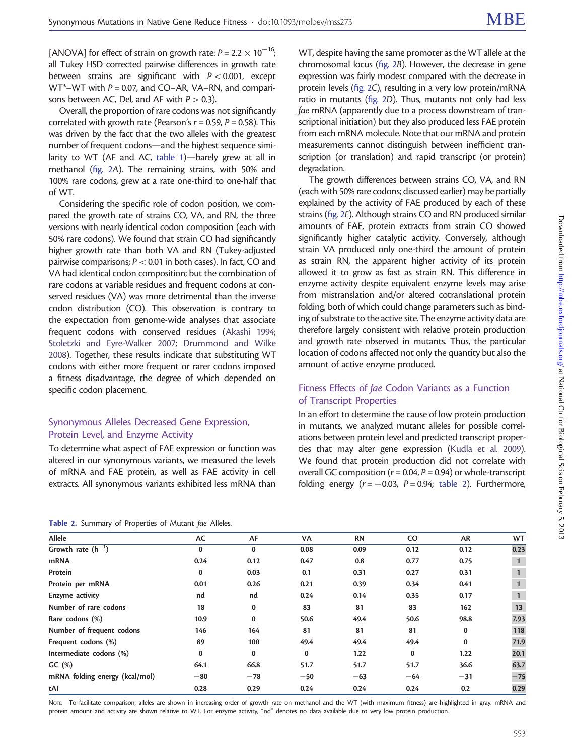<span id="page-4-0"></span>[ANOVA] for effect of strain on growth rate:  $P = 2.2 \times 10^{-16}$ ; all Tukey HSD corrected pairwise differences in growth rate between strains are significant with  $P < 0.001$ , except WT\*–WT with  $P = 0.07$ , and CO–AR, VA–RN, and comparisons between AC, Del, and AF with  $P > 0.3$ ).

Overall, the proportion of rare codons was not significantly correlated with growth rate (Pearson's  $r = 0.59$ ,  $P = 0.58$ ). This was driven by the fact that the two alleles with the greatest number of frequent codons—and the highest sequence similarity to WT (AF and AC, [table 1\)](#page-2-0)—barely grew at all in methanol [\(fig. 2](#page-3-0)A). The remaining strains, with 50% and 100% rare codons, grew at a rate one-third to one-half that of WT.

Considering the specific role of codon position, we compared the growth rate of strains CO, VA, and RN, the three versions with nearly identical codon composition (each with 50% rare codons). We found that strain CO had significantly higher growth rate than both VA and RN (Tukey-adjusted pairwise comparisons;  $P < 0.01$  in both cases). In fact, CO and VA had identical codon composition; but the combination of rare codons at variable residues and frequent codons at conserved residues (VA) was more detrimental than the inverse codon distribution (CO). This observation is contrary to the expectation from genome-wide analyses that associate frequent codons with conserved residues ([Akashi 1994;](#page-10-0) [Stoletzki and Eyre-Walker 2007;](#page-11-0) [Drummond and Wilke](#page-10-0) [2008\)](#page-10-0). Together, these results indicate that substituting WT codons with either more frequent or rarer codons imposed a fitness disadvantage, the degree of which depended on specific codon placement.

#### Synonymous Alleles Decreased Gene Expression, Protein Level, and Enzyme Activity

To determine what aspect of FAE expression or function was altered in our synonymous variants, we measured the levels of mRNA and FAE protein, as well as FAE activity in cell extracts. All synonymous variants exhibited less mRNA than

|  |  |  |  | Table 2. Summary of Properties of Mutant fae Alleles. |  |  |  |  |
|--|--|--|--|-------------------------------------------------------|--|--|--|--|
|--|--|--|--|-------------------------------------------------------|--|--|--|--|

WT, despite having the same promoter as the WT allele at the chromosomal locus [\(fig. 2](#page-3-0)B). However, the decrease in gene expression was fairly modest compared with the decrease in protein levels ([fig. 2](#page-3-0)C), resulting in a very low protein/mRNA ratio in mutants [\(fig. 2](#page-3-0)D). Thus, mutants not only had less fae mRNA (apparently due to a process downstream of transcriptional initiation) but they also produced less FAE protein from each mRNA molecule. Note that our mRNA and protein measurements cannot distinguish between inefficient transcription (or translation) and rapid transcript (or protein) degradation.

The growth differences between strains CO, VA, and RN (each with 50% rare codons; discussed earlier) may be partially explained by the activity of FAE produced by each of these strains [\(fig. 2](#page-3-0)E). Although strains CO and RN produced similar amounts of FAE, protein extracts from strain CO showed significantly higher catalytic activity. Conversely, although strain VA produced only one-third the amount of protein as strain RN, the apparent higher activity of its protein allowed it to grow as fast as strain RN. This difference in enzyme activity despite equivalent enzyme levels may arise from mistranslation and/or altered cotranslational protein folding, both of which could change parameters such as binding of substrate to the active site. The enzyme activity data are therefore largely consistent with relative protein production and growth rate observed in mutants. Thus, the particular location of codons affected not only the quantity but also the amount of active enzyme produced.

#### Fitness Effects of fae Codon Variants as a Function of Transcript Properties

In an effort to determine the cause of low protein production in mutants, we analyzed mutant alleles for possible correlations between protein level and predicted transcript properties that may alter gene expression ([Kudla et al. 2009\)](#page-10-0). We found that protein production did not correlate with overall GC composition ( $r = 0.04$ ,  $P = 0.94$ ) or whole-transcript folding energy ( $r = -0.03$ ,  $P = 0.94$ ; table 2). Furthermore,

| <b>Allele</b>                  | AC       | AF    | <b>VA</b> | <b>RN</b> | co       | <b>AR</b> | <b>WT</b>      |
|--------------------------------|----------|-------|-----------|-----------|----------|-----------|----------------|
| Growth rate $(h^{-1})$         | $\bf{0}$ | 0     | 0.08      | 0.09      | 0.12     | 0.12      | 0.23           |
| <b>mRNA</b>                    | 0.24     | 0.12  | 0.47      | 0.8       | 0.77     | 0.75      | $\mathbf{1}$   |
| Protein                        | $\bf{0}$ | 0.03  | 0.1       | 0.31      | 0.27     | 0.31      | $\mathbf{1}$   |
| Protein per mRNA               | 0.01     | 0.26  | 0.21      | 0.39      | 0.34     | 0.41      | $\mathbf{1}$   |
| Enzyme activity                | nd       | nd    | 0.24      | 0.14      | 0.35     | 0.17      | $\overline{1}$ |
| Number of rare codons          | 18       | 0     | 83        | 81        | 83       | 162       | 13             |
| Rare codons (%)                | 10.9     | 0     | 50.6      | 49.4      | 50.6     | 98.8      | 7.93           |
| Number of frequent codons      | 146      | 164   | 81        | 81        | 81       | 0         | 118            |
| Frequent codons (%)            | 89       | 100   | 49.4      | 49.4      | 49.4     | $\bf{0}$  | 71.9           |
| Intermediate codons (%)        | $\bf{0}$ | 0     | $\bf{0}$  | 1.22      | $\bf{0}$ | 1.22      | 20.1           |
| GC(%)                          | 64.1     | 66.8  | 51.7      | 51.7      | 51.7     | 36.6      | 63.7           |
| mRNA folding energy (kcal/mol) | $-80$    | $-78$ | $-50$     | $-63$     | $-64$    | $-31$     | $-75$          |
| tAl                            | 0.28     | 0.29  | 0.24      | 0.24      | 0.24     | 0.2       | 0.29           |

NOTE-To facilitate comparison, alleles are shown in increasing order of growth rate on methanol and the WT (with maximum fitness) are highlighted in gray. mRNA and protein amount and activity are shown relative to WT. For enzyme activity, "nd" denotes no data available due to very low protein production.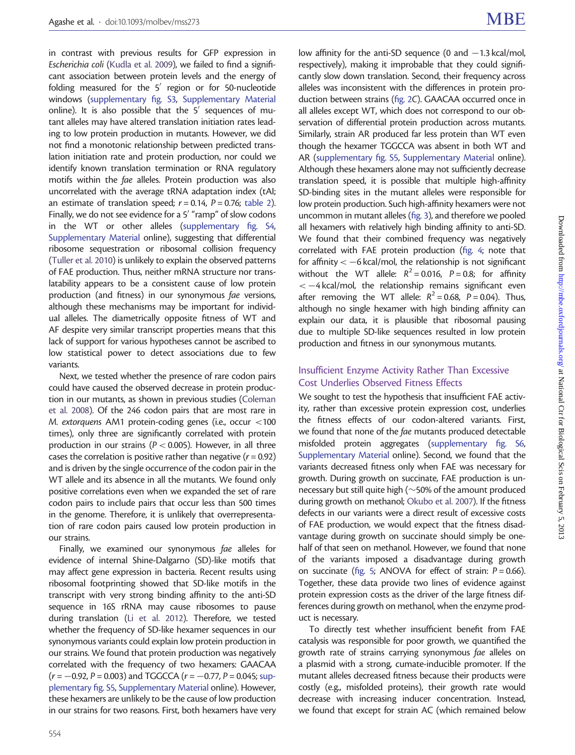in contrast with previous results for GFP expression in Escherichia coli ([Kudla et al. 2009\)](#page-10-0), we failed to find a significant association between protein levels and the energy of folding measured for the  $5'$  region or for 50-nucleotide windows ([supplementary fig. S3](http://mbe.oxfordjournals.org/lookup/suppl/doi:10.1093/molbev/mss273/-/DC1), [Supplementary Material](http://mbe.oxfordjournals.org/lookup/suppl/doi:10.1093/molbev/mss273/-/DC1) online). It is also possible that the  $5'$  sequences of mutant alleles may have altered translation initiation rates leading to low protein production in mutants. However, we did not find a monotonic relationship between predicted translation initiation rate and protein production, nor could we identify known translation termination or RNA regulatory motifs within the fae alleles. Protein production was also uncorrelated with the average tRNA adaptation index (tAI; an estimate of translation speed;  $r = 0.14$ ,  $P = 0.76$ ; [table 2\)](#page-4-0). Finally, we do not see evidence for a  $5'$  "ramp" of slow codons in the WT or other alleles ([supplementary fig. S4,](http://mbe.oxfordjournals.org/lookup/suppl/doi:10.1093/molbev/mss273/-/DC1) [Supplementary Material](http://mbe.oxfordjournals.org/lookup/suppl/doi:10.1093/molbev/mss273/-/DC1) online), suggesting that differential ribosome sequestration or ribosomal collision frequency ([Tuller et al. 2010\)](#page-11-0) is unlikely to explain the observed patterns of FAE production. Thus, neither mRNA structure nor translatability appears to be a consistent cause of low protein production (and fitness) in our synonymous fae versions, although these mechanisms may be important for individual alleles. The diametrically opposite fitness of WT and AF despite very similar transcript properties means that this lack of support for various hypotheses cannot be ascribed to low statistical power to detect associations due to few variants.

Next, we tested whether the presence of rare codon pairs could have caused the observed decrease in protein production in our mutants, as shown in previous studies ([Coleman](#page-10-0) [et al. 2008](#page-10-0)). Of the 246 codon pairs that are most rare in M. extorquens AM1 protein-coding genes (i.e., occur <100 times), only three are significantly correlated with protein production in our strains ( $P < 0.005$ ). However, in all three cases the correlation is positive rather than negative  $(r = 0.92)$ and is driven by the single occurrence of the codon pair in the WT allele and its absence in all the mutants. We found only positive correlations even when we expanded the set of rare codon pairs to include pairs that occur less than 500 times in the genome. Therefore, it is unlikely that overrepresentation of rare codon pairs caused low protein production in our strains.

Finally, we examined our synonymous fae alleles for evidence of internal Shine-Dalgarno (SD)-like motifs that may affect gene expression in bacteria. Recent results using ribosomal footprinting showed that SD-like motifs in the transcript with very strong binding affinity to the anti-SD sequence in 16S rRNA may cause ribosomes to pause during translation [\(Li et al. 2012\)](#page-10-0). Therefore, we tested whether the frequency of SD-like hexamer sequences in our synonymous variants could explain low protein production in our strains. We found that protein production was negatively correlated with the frequency of two hexamers: GAACAA  $(r = -0.92, P = 0.003)$  and TGGCCA  $(r = -0.77, P = 0.045; \text{sup-}$ [plementary fig. S5,](http://mbe.oxfordjournals.org/lookup/suppl/doi:10.1093/molbev/mss273/-/DC1) [Supplementary Material](http://mbe.oxfordjournals.org/lookup/suppl/doi:10.1093/molbev/mss273/-/DC1) online). However, these hexamers are unlikely to be the cause of low production in our strains for two reasons. First, both hexamers have very

low affinity for the anti-SD sequence  $(0 \text{ and } -1.3 \text{ kcal/mol})$ . respectively), making it improbable that they could significantly slow down translation. Second, their frequency across alleles was inconsistent with the differences in protein production between strains [\(fig. 2](#page-3-0)C). GAACAA occurred once in all alleles except WT, which does not correspond to our observation of differential protein production across mutants. Similarly, strain AR produced far less protein than WT even though the hexamer TGGCCA was absent in both WT and AR ([supplementary fig. S5](http://mbe.oxfordjournals.org/lookup/suppl/doi:10.1093/molbev/mss273/-/DC1), [Supplementary Material](http://mbe.oxfordjournals.org/lookup/suppl/doi:10.1093/molbev/mss273/-/DC1) online). Although these hexamers alone may not sufficiently decrease translation speed, it is possible that multiple high-affinity SD-binding sites in the mutant alleles were responsible for low protein production. Such high-affinity hexamers were not uncommon in mutant alleles [\(fig. 3\)](#page-6-0), and therefore we pooled all hexamers with relatively high binding affinity to anti-SD. We found that their combined frequency was negatively correlated with FAE protein production [\(fig. 4;](#page-6-0) note that for affinity  $<-6$  kcal/mol, the relationship is not significant without the WT allele:  $R^2 = 0.016$ ,  $P = 0.8$ ; for affinity  $<-4$  kcal/mol, the relationship remains significant even after removing the WT allele:  $R^2 = 0.68$ ,  $P = 0.04$ ). Thus, although no single hexamer with high binding affinity can explain our data, it is plausible that ribosomal pausing due to multiple SD-like sequences resulted in low protein production and fitness in our synonymous mutants.

#### Insufficient Enzyme Activity Rather Than Excessive Cost Underlies Observed Fitness Effects

We sought to test the hypothesis that insufficient FAE activity, rather than excessive protein expression cost, underlies the fitness effects of our codon-altered variants. First, we found that none of the fae mutants produced detectable misfolded protein aggregates ([supplementary fig. S6,](http://mbe.oxfordjournals.org/lookup/suppl/doi:10.1093/molbev/mss273/-/DC1) [Supplementary Material](http://mbe.oxfordjournals.org/lookup/suppl/doi:10.1093/molbev/mss273/-/DC1) online). Second, we found that the variants decreased fitness only when FAE was necessary for growth. During growth on succinate, FAE production is unnecessary but still quite high ( $\sim$ 50% of the amount produced during growth on methanol; [Okubo et al. 2007\)](#page-11-0). If the fitness defects in our variants were a direct result of excessive costs of FAE production, we would expect that the fitness disadvantage during growth on succinate should simply be onehalf of that seen on methanol. However, we found that none of the variants imposed a disadvantage during growth on succinate [\(fig. 5](#page-7-0); ANOVA for effect of strain:  $P = 0.66$ ). Together, these data provide two lines of evidence against protein expression costs as the driver of the large fitness differences during growth on methanol, when the enzyme product is necessary.

To directly test whether insufficient benefit from FAE catalysis was responsible for poor growth, we quantified the growth rate of strains carrying synonymous fae alleles on a plasmid with a strong, cumate-inducible promoter. If the mutant alleles decreased fitness because their products were costly (e.g., misfolded proteins), their growth rate would decrease with increasing inducer concentration. Instead, we found that except for strain AC (which remained below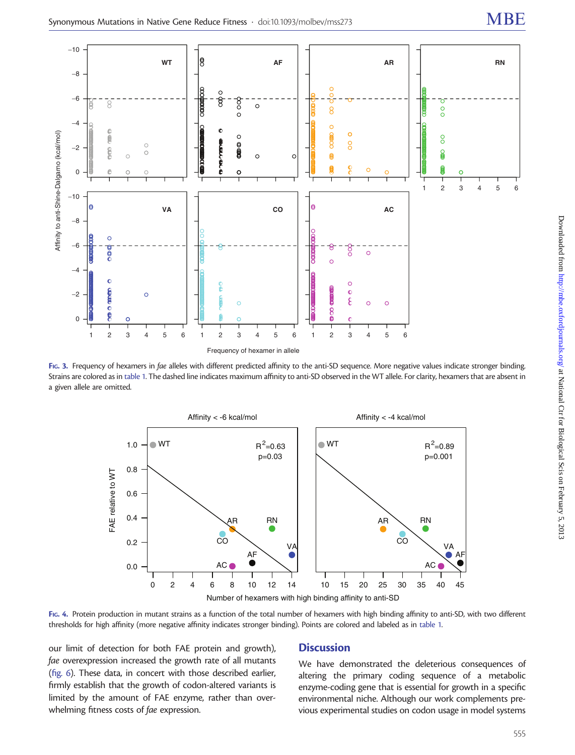<span id="page-6-0"></span>

FIG. 3. Frequency of hexamers in fae alleles with different predicted affinity to the anti-SD sequence. More negative values indicate stronger binding. Strains are colored as in [table 1.](#page-2-0) The dashed line indicates maximum affinity to anti-SD observed in the WT allele. For clarity, hexamers that are absent in a given allele are omitted.



FIG. 4. Protein production in mutant strains as a function of the total number of hexamers with high binding affinity to anti-SD, with two different thresholds for high affinity (more negative affinity indicates stronger binding). Points are colored and labeled as in [table 1](#page-2-0).

our limit of detection for both FAE protein and growth), fae overexpression increased the growth rate of all mutants ([fig. 6](#page-7-0)). These data, in concert with those described earlier, firmly establish that the growth of codon-altered variants is limited by the amount of FAE enzyme, rather than overwhelming fitness costs of fae expression.

#### **Discussion**

We have demonstrated the deleterious consequences of altering the primary coding sequence of a metabolic enzyme-coding gene that is essential for growth in a specific environmental niche. Although our work complements previous experimental studies on codon usage in model systems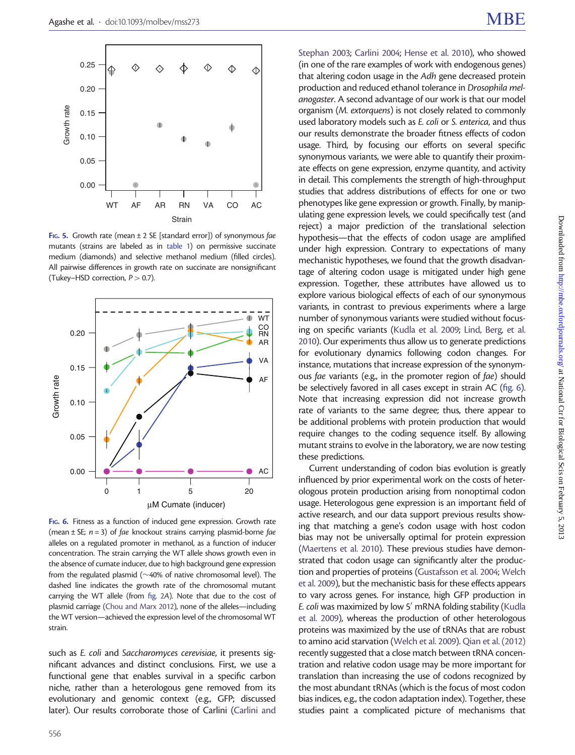<span id="page-7-0"></span>

FIG. 5. Growth rate (mean  $\pm$  2 SE [standard error]) of synonymous fae mutants (strains are labeled as in [table 1\)](#page-2-0) on permissive succinate medium (diamonds) and selective methanol medium (filled circles). All pairwise differences in growth rate on succinate are nonsignificant (Tukey–HSD correction,  $P > 0.7$ ).



FIG. 6. Fitness as a function of induced gene expression. Growth rate (mean  $\pm$  SE;  $n = 3$ ) of fae knockout strains carrying plasmid-borne fae alleles on a regulated promoter in methanol, as a function of inducer concentration. The strain carrying the WT allele shows growth even in the absence of cumate inducer, due to high background gene expression from the regulated plasmid ( $\sim$  40% of native chromosomal level). The dashed line indicates the growth rate of the chromosomal mutant carrying the WT allele (from [fig. 2](#page-3-0)A). Note that due to the cost of plasmid carriage [\(Chou and Marx 2012](#page-10-0)), none of the alleles—including the WT version—achieved the expression level of the chromosomal WT strain.

such as E. coli and Saccharomyces cerevisiae, it presents significant advances and distinct conclusions. First, we use a functional gene that enables survival in a specific carbon niche, rather than a heterologous gene removed from its evolutionary and genomic context (e.g., GFP; discussed later). Our results corroborate those of Carlini [\(Carlini and](#page-10-0) [Stephan 2003;](#page-10-0) [Carlini 2004](#page-10-0); [Hense et al. 2010](#page-10-0)), who showed (in one of the rare examples of work with endogenous genes) that altering codon usage in the Adh gene decreased protein production and reduced ethanol tolerance in Drosophila melanogaster. A second advantage of our work is that our model organism (M. extorquens) is not closely related to commonly used laboratory models such as E. coli or S. enterica, and thus our results demonstrate the broader fitness effects of codon usage. Third, by focusing our efforts on several specific synonymous variants, we were able to quantify their proximate effects on gene expression, enzyme quantity, and activity in detail. This complements the strength of high-throughput studies that address distributions of effects for one or two phenotypes like gene expression or growth. Finally, by manipulating gene expression levels, we could specifically test (and reject) a major prediction of the translational selection hypothesis—that the effects of codon usage are amplified under high expression. Contrary to expectations of many mechanistic hypotheses, we found that the growth disadvantage of altering codon usage is mitigated under high gene expression. Together, these attributes have allowed us to explore various biological effects of each of our synonymous variants, in contrast to previous experiments where a large number of synonymous variants were studied without focusing on specific variants ([Kudla et al. 2009](#page-10-0); [Lind, Berg, et al.](#page-10-0) [2010\)](#page-10-0). Our experiments thus allow us to generate predictions for evolutionary dynamics following codon changes. For instance, mutations that increase expression of the synonymous fae variants (e.g., in the promoter region of fae) should be selectively favored in all cases except in strain AC (fig. 6). Note that increasing expression did not increase growth rate of variants to the same degree; thus, there appear to be additional problems with protein production that would require changes to the coding sequence itself. By allowing mutant strains to evolve in the laboratory, we are now testing these predictions.

Current understanding of codon bias evolution is greatly influenced by prior experimental work on the costs of heterologous protein production arising from nonoptimal codon usage. Heterologous gene expression is an important field of active research, and our data support previous results showing that matching a gene's codon usage with host codon bias may not be universally optimal for protein expression [\(Maertens et al. 2010\)](#page-10-0). These previous studies have demonstrated that codon usage can significantly alter the production and properties of proteins ([Gustafsson et al. 2004;](#page-10-0) [Welch](#page-11-0) [et al. 2009](#page-11-0)), but the mechanistic basisfor these effects appears to vary across genes. For instance, high GFP production in E. coli was maximized by low 5' mRNA folding stability [\(Kudla](#page-10-0) [et al. 2009\)](#page-10-0), whereas the production of other heterologous proteins was maximized by the use of tRNAs that are robust to amino acid starvation ([Welch et al. 2009](#page-11-0)). [Qian et al. \(2012\)](#page-11-0) recently suggested that a close match between tRNA concentration and relative codon usage may be more important for translation than increasing the use of codons recognized by the most abundant tRNAs (which is the focus of most codon bias indices, e.g., the codon adaptation index). Together, these studies paint a complicated picture of mechanisms that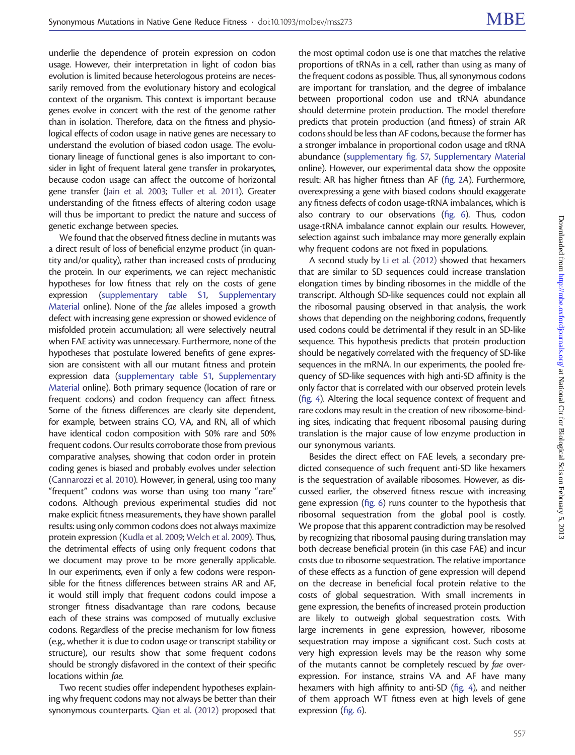underlie the dependence of protein expression on codon usage. However, their interpretation in light of codon bias evolution is limited because heterologous proteins are necessarily removed from the evolutionary history and ecological context of the organism. This context is important because genes evolve in concert with the rest of the genome rather than in isolation. Therefore, data on the fitness and physiological effects of codon usage in native genes are necessary to understand the evolution of biased codon usage. The evolutionary lineage of functional genes is also important to consider in light of frequent lateral gene transfer in prokaryotes, because codon usage can affect the outcome of horizontal gene transfer [\(Jain et al. 2003](#page-10-0); [Tuller et al. 2011](#page-11-0)). Greater understanding of the fitness effects of altering codon usage will thus be important to predict the nature and success of genetic exchange between species.

We found that the observed fitness decline in mutants was a direct result of loss of beneficial enzyme product (in quantity and/or quality), rather than increased costs of producing the protein. In our experiments, we can reject mechanistic hypotheses for low fitness that rely on the costs of gene expression [\(supplementary table S1,](http://mbe.oxfordjournals.org/lookup/suppl/doi:10.1093/molbev/mss273/-/DC1) [Supplementary](http://mbe.oxfordjournals.org/lookup/suppl/doi:10.1093/molbev/mss273/-/DC1) [Material](http://mbe.oxfordjournals.org/lookup/suppl/doi:10.1093/molbev/mss273/-/DC1) online). None of the fae alleles imposed a growth defect with increasing gene expression or showed evidence of misfolded protein accumulation; all were selectively neutral when FAE activity was unnecessary. Furthermore, none of the hypotheses that postulate lowered benefits of gene expression are consistent with all our mutant fitness and protein expression data [\(supplementary table S1,](http://mbe.oxfordjournals.org/lookup/suppl/doi:10.1093/molbev/mss273/-/DC1) [Supplementary](http://mbe.oxfordjournals.org/lookup/suppl/doi:10.1093/molbev/mss273/-/DC1) [Material](http://mbe.oxfordjournals.org/lookup/suppl/doi:10.1093/molbev/mss273/-/DC1) online). Both primary sequence (location of rare or frequent codons) and codon frequency can affect fitness. Some of the fitness differences are clearly site dependent, for example, between strains CO, VA, and RN, all of which have identical codon composition with 50% rare and 50% frequent codons. Our results corroborate those from previous comparative analyses, showing that codon order in protein coding genes is biased and probably evolves under selection ([Cannarozzi et al. 2010\)](#page-10-0). However, in general, using too many "frequent" codons was worse than using too many "rare" codons. Although previous experimental studies did not make explicit fitness measurements, they have shown parallel results: using only common codons does not always maximize protein expression ([Kudla et al. 2009](#page-10-0); [Welch et al. 2009\)](#page-11-0). Thus, the detrimental effects of using only frequent codons that we document may prove to be more generally applicable. In our experiments, even if only a few codons were responsible for the fitness differences between strains AR and AF, it would still imply that frequent codons could impose a stronger fitness disadvantage than rare codons, because each of these strains was composed of mutually exclusive codons. Regardless of the precise mechanism for low fitness (e.g., whether it is due to codon usage or transcript stability or structure), our results show that some frequent codons should be strongly disfavored in the context of their specific locations within fae.

Two recent studies offer independent hypotheses explaining why frequent codons may not always be better than their synonymous counterparts. [Qian et al. \(2012\)](#page-11-0) proposed that

the most optimal codon use is one that matches the relative proportions of tRNAs in a cell, rather than using as many of the frequent codons as possible. Thus, all synonymous codons are important for translation, and the degree of imbalance between proportional codon use and tRNA abundance should determine protein production. The model therefore predicts that protein production (and fitness) of strain AR codons should be less than AF codons, because the former has a stronger imbalance in proportional codon usage and tRNA abundance [\(supplementary fig. S7](http://mbe.oxfordjournals.org/lookup/suppl/doi:10.1093/molbev/mss273/-/DC1), [Supplementary Material](http://mbe.oxfordjournals.org/lookup/suppl/doi:10.1093/molbev/mss273/-/DC1) online). However, our experimental data show the opposite result: AR has higher fitness than AF [\(fig. 2](#page-3-0)A). Furthermore, overexpressing a gene with biased codons should exaggerate any fitness defects of codon usage-tRNA imbalances, which is also contrary to our observations [\(fig. 6](#page-7-0)). Thus, codon usage-tRNA imbalance cannot explain our results. However, selection against such imbalance may more generally explain why frequent codons are not fixed in populations.

A second study by [Li et al. \(2012\)](#page-10-0) showed that hexamers that are similar to SD sequences could increase translation elongation times by binding ribosomes in the middle of the transcript. Although SD-like sequences could not explain all the ribosomal pausing observed in that analysis, the work shows that depending on the neighboring codons, frequently used codons could be detrimental if they result in an SD-like sequence. This hypothesis predicts that protein production should be negatively correlated with the frequency of SD-like sequences in the mRNA. In our experiments, the pooled frequency of SD-like sequences with high anti-SD affinity is the only factor that is correlated with our observed protein levels [\(fig. 4](#page-6-0)). Altering the local sequence context of frequent and rare codons may result in the creation of new ribosome-binding sites, indicating that frequent ribosomal pausing during translation is the major cause of low enzyme production in our synonymous variants.

Besides the direct effect on FAE levels, a secondary predicted consequence of such frequent anti-SD like hexamers is the sequestration of available ribosomes. However, as discussed earlier, the observed fitness rescue with increasing gene expression [\(fig. 6](#page-7-0)) runs counter to the hypothesis that ribosomal sequestration from the global pool is costly. We propose that this apparent contradiction may be resolved by recognizing that ribosomal pausing during translation may both decrease beneficial protein (in this case FAE) and incur costs due to ribosome sequestration. The relative importance of these effects as a function of gene expression will depend on the decrease in beneficial focal protein relative to the costs of global sequestration. With small increments in gene expression, the benefits of increased protein production are likely to outweigh global sequestration costs. With large increments in gene expression, however, ribosome sequestration may impose a significant cost. Such costs at very high expression levels may be the reason why some of the mutants cannot be completely rescued by fae overexpression. For instance, strains VA and AF have many hexamers with high affinity to anti-SD [\(fig. 4\)](#page-6-0), and neither of them approach WT fitness even at high levels of gene expression ([fig. 6](#page-7-0)).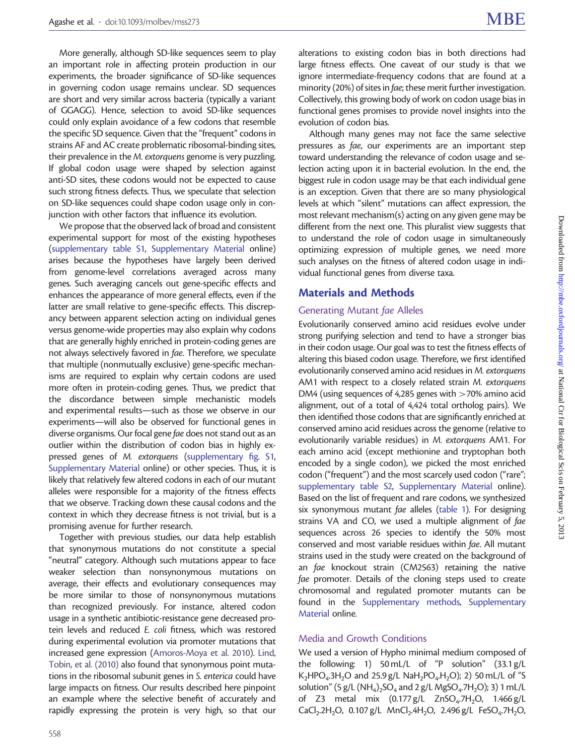More generally, although SD-like sequences seem to play an important role in affecting protein production in our experiments, the broader significance of SD-like sequences in governing codon usage remains unclear. SD sequences are short and very similar across bacteria (typically a variant of GGAGG). Hence, selection to avoid SD-like sequences could only explain avoidance of a few codons that resemble the specific SD sequence. Given that the "frequent" codons in strains AF and AC create problematic ribosomal-binding sites, their prevalence in the M. extorquens genome is very puzzling. If global codon usage were shaped by selection against anti-SD sites, these codons would not be expected to cause such strong fitness defects. Thus, we speculate that selection on SD-like sequences could shape codon usage only in conjunction with other factors that influence its evolution.

We propose that the observed lack of broad and consistent experimental support for most of the existing hypotheses ([supplementary table S1](http://mbe.oxfordjournals.org/lookup/suppl/doi:10.1093/molbev/mss273/-/DC1), [Supplementary Material](http://mbe.oxfordjournals.org/lookup/suppl/doi:10.1093/molbev/mss273/-/DC1) online) arises because the hypotheses have largely been derived from genome-level correlations averaged across many genes. Such averaging cancels out gene-specific effects and enhances the appearance of more general effects, even if the latter are small relative to gene-specific effects. This discrepancy between apparent selection acting on individual genes versus genome-wide properties may also explain why codons that are generally highly enriched in protein-coding genes are not always selectively favored in fae. Therefore, we speculate that multiple (nonmutually exclusive) gene-specific mechanisms are required to explain why certain codons are used more often in protein-coding genes. Thus, we predict that the discordance between simple mechanistic models and experimental results—such as those we observe in our experiments—will also be observed for functional genes in diverse organisms. Our focal gene fae does not stand out as an outlier within the distribution of codon bias in highly expressed genes of M. extorquens [\(supplementary fig. S1,](http://mbe.oxfordjournals.org/lookup/suppl/doi:10.1093/molbev/mss273/-/DC1) [Supplementary Material](http://mbe.oxfordjournals.org/lookup/suppl/doi:10.1093/molbev/mss273/-/DC1) online) or other species. Thus, it is likely that relatively few altered codons in each of our mutant alleles were responsible for a majority of the fitness effects that we observe. Tracking down these causal codons and the context in which they decrease fitness is not trivial, but is a promising avenue for further research.

Together with previous studies, our data help establish that synonymous mutations do not constitute a special "neutral" category. Although such mutations appear to face weaker selection than nonsynonymous mutations on average, their effects and evolutionary consequences may be more similar to those of nonsynonymous mutations than recognized previously. For instance, altered codon usage in a synthetic antibiotic-resistance gene decreased protein levels and reduced E. coli fitness, which was restored during experimental evolution via promoter mutations that increased gene expression ([Amoros-Moya et al. 2010\)](#page-10-0). [Lind,](#page-10-0) [Tobin, et al. \(2010\)](#page-10-0) also found that synonymous point mutations in the ribosomal subunit genes in S. enterica could have large impacts on fitness. Our results described here pinpoint an example where the selective benefit of accurately and rapidly expressing the protein is very high, so that our alterations to existing codon bias in both directions had large fitness effects. One caveat of our study is that we ignore intermediate-frequency codons that are found at a minority (20%) of sites in fae; these merit further investigation. Collectively, this growing body of work on codon usage bias in functional genes promises to provide novel insights into the evolution of codon bias.

Although many genes may not face the same selective pressures as fae, our experiments are an important step toward understanding the relevance of codon usage and selection acting upon it in bacterial evolution. In the end, the biggest rule in codon usage may be that each individual gene is an exception. Given that there are so many physiological levels at which "silent" mutations can affect expression, the most relevant mechanism(s) acting on any given gene may be different from the next one. This pluralist view suggests that to understand the role of codon usage in simultaneously optimizing expression of multiple genes, we need more such analyses on the fitness of altered codon usage in individual functional genes from diverse taxa.

#### Materials and Methods

#### Generating Mutant fae Alleles

Evolutionarily conserved amino acid residues evolve under strong purifying selection and tend to have a stronger bias in their codon usage. Our goal was to test the fitness effects of altering this biased codon usage. Therefore, we first identified evolutionarily conserved amino acid residues in M. extorquens AM1 with respect to a closely related strain M. extorquens DM4 (using sequences of 4,285 genes with >70% amino acid alignment, out of a total of 4,424 total ortholog pairs). We then identified those codons that are significantly enriched at conserved amino acid residues across the genome (relative to evolutionarily variable residues) in M. extorquens AM1. For each amino acid (except methionine and tryptophan both encoded by a single codon), we picked the most enriched codon ("frequent") and the most scarcely used codon ("rare"; [supplementary table S2](http://mbe.oxfordjournals.org/lookup/suppl/doi:10.1093/molbev/mss273/-/DC1), [Supplementary Material](http://mbe.oxfordjournals.org/lookup/suppl/doi:10.1093/molbev/mss273/-/DC1) online). Based on the list of frequent and rare codons, we synthesized six synonymous mutant fae alleles ([table 1](#page-2-0)). For designing strains VA and CO, we used a multiple alignment of fae sequences across 26 species to identify the 50% most conserved and most variable residues within fae. All mutant strains used in the study were created on the background of an fae knockout strain (CM2563) retaining the native fae promoter. Details of the cloning steps used to create chromosomal and regulated promoter mutants can be found in the [Supplementary methods](http://mbe.oxfordjournals.org/lookup/suppl/doi:10.1093/molbev/mss273/-/DC1), [Supplementary](http://mbe.oxfordjournals.org/lookup/suppl/doi:10.1093/molbev/mss273/-/DC1) [Material](http://mbe.oxfordjournals.org/lookup/suppl/doi:10.1093/molbev/mss273/-/DC1) online.

#### Media and Growth Conditions

We used a version of Hypho minimal medium composed of the following: 1) 50 mL/L of "P solution" (33.1 g/L  $K_2HPO_4.3H_2O$  and 25.9 g/L NaH<sub>2</sub>PO<sub>4</sub>.H<sub>2</sub>O); 2) 50 mL/L of "S solution" (5 g/L (NH<sub>4</sub>)<sub>2</sub>SO<sub>4</sub> and 2 g/L MgSO<sub>4</sub>.7H<sub>2</sub>O); 3) 1 mL/L of Z3 metal mix  $(0.177 g/L ZnSO<sub>4</sub>.7H<sub>2</sub>O, 1.466 g/L)$ CaCl<sub>2</sub>.2H<sub>2</sub>O, 0.107 g/L MnCl<sub>2</sub>.4H<sub>2</sub>O, 2.496 g/L FeSO<sub>4</sub>.7H<sub>2</sub>O,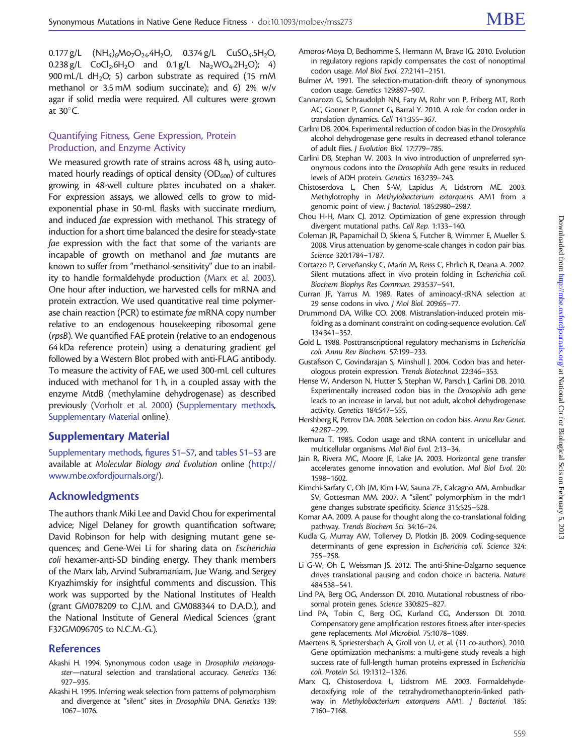<span id="page-10-0"></span> $0.177$  g/L  $(NH_4)_6M_2O_{24}4H_2O$ ,  $0.374$  g/L  $CuSO_4.5H_2O$ ,  $0.238 \text{ g/L}$  CoCl<sub>2</sub>.6H<sub>2</sub>O and  $0.1 \text{ g/L}$  Na<sub>2</sub>WO<sub>4</sub>.2H<sub>2</sub>O); 4) 900 mL/L dH<sub>2</sub>O; 5) carbon substrate as required (15 mM methanol or 3.5 mM sodium succinate); and 6) 2% w/v agar if solid media were required. All cultures were grown at  $30^{\circ}$ C.

#### Quantifying Fitness, Gene Expression, Protein Production, and Enzyme Activity

We measured growth rate of strains across 48 h, using automated hourly readings of optical density  $(OD<sub>600</sub>)$  of cultures growing in 48-well culture plates incubated on a shaker. For expression assays, we allowed cells to grow to midexponential phase in 50-mL flasks with succinate medium, and induced fae expression with methanol. This strategy of induction for a short time balanced the desire for steady-state fae expression with the fact that some of the variants are incapable of growth on methanol and fae mutants are known to suffer from "methanol-sensitivity" due to an inability to handle formaldehyde production (Marx et al. 2003). One hour after induction, we harvested cells for mRNA and protein extraction. We used quantitative real time polymerase chain reaction (PCR) to estimate fae mRNA copy number relative to an endogenous housekeeping ribosomal gene (rpsB). We quantified FAE protein (relative to an endogenous 64 kDa reference protein) using a denaturing gradient gel followed by a Western Blot probed with anti-FLAG antibody. To measure the activity of FAE, we used 300-mL cell cultures induced with methanol for 1 h, in a coupled assay with the enzyme MtdB (methylamine dehydrogenase) as described previously [\(Vorholt et al. 2000](#page-11-0)) [\(Supplementary methods,](http://mbe.oxfordjournals.org/lookup/suppl/doi:10.1093/molbev/mss273/-/DC1) [Supplementary Material](http://mbe.oxfordjournals.org/lookup/suppl/doi:10.1093/molbev/mss273/-/DC1) online).

#### Supplementary Material

[Supplementary methods](http://mbe.oxfordjournals.org/lookup/suppl/doi:10.1093/molbev/mss273/-/DC1), [figures S1–S7,](http://mbe.oxfordjournals.org/lookup/suppl/doi:10.1093/molbev/mss273/-/DC1) and [tables S1–S3](http://mbe.oxfordjournals.org/lookup/suppl/doi:10.1093/molbev/mss273/-/DC1) are available at Molecular Biology and Evolution online [\(http://](http://www.mbe.oxfordjournals.org/) [www.mbe.oxfordjournals.org/](http://www.mbe.oxfordjournals.org/)).

# Acknowledgments

The authors thank Miki Lee and David Chou for experimental advice; Nigel Delaney for growth quantification software; David Robinson for help with designing mutant gene sequences; and Gene-Wei Li for sharing data on Escherichia coli hexamer-anti-SD binding energy. They thank members of the Marx lab, Arvind Subramaniam, Jue Wang, and Sergey Kryazhimskiy for insightful comments and discussion. This work was supported by the National Institutes of Health (grant GM078209 to C.J.M. and GM088344 to D.A.D.), and the National Institute of General Medical Sciences (grant F32GM096705 to N.C.M.-G.).

#### References

- Akashi H. 1994. Synonymous codon usage in Drosophila melanogaster—natural selection and translational accuracy. Genetics 136: 927–935.
- Akashi H. 1995. Inferring weak selection from patterns of polymorphism and divergence at "silent" sites in Drosophila DNA. Genetics 139: 1067–1076.
- Amoros-Moya D, Bedhomme S, Hermann M, Bravo IG. 2010. Evolution in regulatory regions rapidly compensates the cost of nonoptimal codon usage. Mol Biol Evol. 27:2141–2151.
- Bulmer M. 1991. The selection-mutation-drift theory of synonymous codon usage. Genetics 129:897–907.
- Cannarozzi G, Schraudolph NN, Faty M, Rohr von P, Friberg MT, Roth AC, Gonnet P, Gonnet G, Barral Y. 2010. A role for codon order in translation dynamics. Cell 141:355–367.
- Carlini DB. 2004. Experimental reduction of codon bias in the Drosophila alcohol dehydrogenase gene results in decreased ethanol tolerance of adult flies. J Evolution Biol. 17:779–785.
- Carlini DB, Stephan W. 2003. In vivo introduction of unpreferred synonymous codons into the Drosophila Adh gene results in reduced levels of ADH protein. Genetics 163:239–243.
- Chistoserdova L, Chen S-W, Lapidus A, Lidstrom ME. 2003. Methylotrophy in Methylobacterium extorquens AM1 from a genomic point of view. J Bacteriol. 185:2980–2987.
- Chou H-H, Marx CJ. 2012. Optimization of gene expression through divergent mutational paths. Cell Rep. 1:133–140.
- Coleman JR, Papamichail D, Skiena S, Futcher B, Wimmer E, Mueller S. 2008. Virus attenuation by genome-scale changes in codon pair bias. Science 320:1784–1787.
- Cortazzo P, Cerveñansky C, Marín M, Reiss C, Ehrlich R, Deana A. 2002. Silent mutations affect in vivo protein folding in Escherichia coli. Biochem Biophys Res Commun. 293:537–541.
- Curran JF, Yarrus M. 1989. Rates of aminoacyl-tRNA selection at 29 sense codons in vivo. J Mol Biol. 209:65–77.
- Drummond DA, Wilke CO. 2008. Mistranslation-induced protein misfolding as a dominant constraint on coding-sequence evolution. Cell 134:341–352.
- Gold L. 1988. Posttranscriptional regulatory mechanisms in Escherichia coli. Annu Rev Biochem. 57:199–233.
- Gustafsson C, Govindarajan S, Minshull J. 2004. Codon bias and heterologous protein expression. Trends Biotechnol. 22:346–353.
- Hense W, Anderson N, Hutter S, Stephan W, Parsch J, Carlini DB. 2010. Experimentally increased codon bias in the Drosophila adh gene leads to an increase in larval, but not adult, alcohol dehydrogenase activity. Genetics 184:547–555.
- Hershberg R, Petrov DA. 2008. Selection on codon bias. Annu Rev Genet. 42:287–299.
- Ikemura T. 1985. Codon usage and tRNA content in unicellular and multicellular organisms. Mol Biol Evol. 2:13–34.
- Jain R, Rivera MC, Moore JE, Lake JA. 2003. Horizontal gene transfer accelerates genome innovation and evolution. Mol Biol Evol. 20: 1598–1602.
- Kimchi-Sarfaty C, Oh JM, Kim I-W, Sauna ZE, Calcagno AM, Ambudkar SV, Gottesman MM. 2007. A "silent" polymorphism in the mdr1 gene changes substrate specificity. Science 315:525–528.
- Komar AA. 2009. A pause for thought along the co-translational folding pathway. Trends Biochem Sci. 34:16–24.
- Kudla G, Murray AW, Tollervey D, Plotkin JB. 2009. Coding-sequence determinants of gene expression in Escherichia coli. Science 324: 255–258.
- Li G-W, Oh E, Weissman JS. 2012. The anti-Shine-Dalgarno sequence drives translational pausing and codon choice in bacteria. Nature 484:538–541.
- Lind PA, Berg OG, Andersson DI. 2010. Mutational robustness of ribosomal protein genes. Science 330:825–827.
- Lind PA, Tobin C, Berg OG, Kurland CG, Andersson DI. 2010. Compensatory gene amplification restores fitness after inter-species gene replacements. Mol Microbiol. 75:1078–1089.
- Maertens B, Spriestersbach A, Groll von U, et al. (11 co-authors). 2010. Gene optimization mechanisms: a multi-gene study reveals a high success rate of full-length human proteins expressed in Escherichia coli. Protein Sci. 19:1312–1326.
- Marx CJ, Chistoserdova L, Lidstrom ME. 2003. Formaldehydedetoxifying role of the tetrahydromethanopterin-linked pathway in Methylobacterium extorquens AM1. J Bacteriol. 185: 7160–7168.